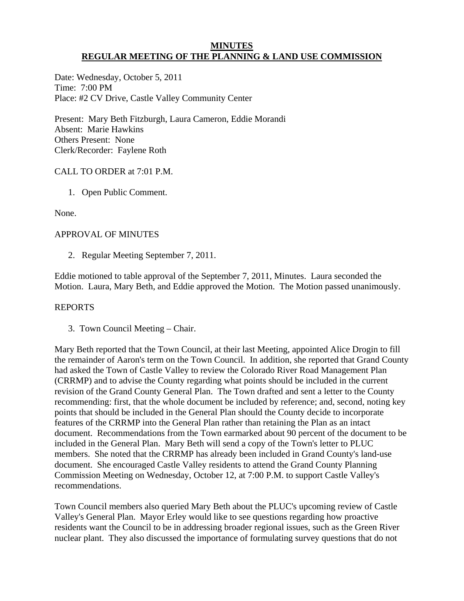## **MINUTES REGULAR MEETING OF THE PLANNING & LAND USE COMMISSION**

Date: Wednesday, October 5, 2011 Time: 7:00 PM Place: #2 CV Drive, Castle Valley Community Center

Present: Mary Beth Fitzburgh, Laura Cameron, Eddie Morandi Absent: Marie Hawkins Others Present: None Clerk/Recorder: Faylene Roth

# CALL TO ORDER at 7:01 P.M.

1. Open Public Comment.

None.

# APPROVAL OF MINUTES

2. Regular Meeting September 7, 2011.

Eddie motioned to table approval of the September 7, 2011, Minutes. Laura seconded the Motion. Laura, Mary Beth, and Eddie approved the Motion. The Motion passed unanimously.

## REPORTS

3. Town Council Meeting – Chair.

Mary Beth reported that the Town Council, at their last Meeting, appointed Alice Drogin to fill the remainder of Aaron's term on the Town Council. In addition, she reported that Grand County had asked the Town of Castle Valley to review the Colorado River Road Management Plan (CRRMP) and to advise the County regarding what points should be included in the current revision of the Grand County General Plan. The Town drafted and sent a letter to the County recommending: first, that the whole document be included by reference; and, second, noting key points that should be included in the General Plan should the County decide to incorporate features of the CRRMP into the General Plan rather than retaining the Plan as an intact document. Recommendations from the Town earmarked about 90 percent of the document to be included in the General Plan. Mary Beth will send a copy of the Town's letter to PLUC members. She noted that the CRRMP has already been included in Grand County's land-use document. She encouraged Castle Valley residents to attend the Grand County Planning Commission Meeting on Wednesday, October 12, at 7:00 P.M. to support Castle Valley's recommendations.

Town Council members also queried Mary Beth about the PLUC's upcoming review of Castle Valley's General Plan. Mayor Erley would like to see questions regarding how proactive residents want the Council to be in addressing broader regional issues, such as the Green River nuclear plant. They also discussed the importance of formulating survey questions that do not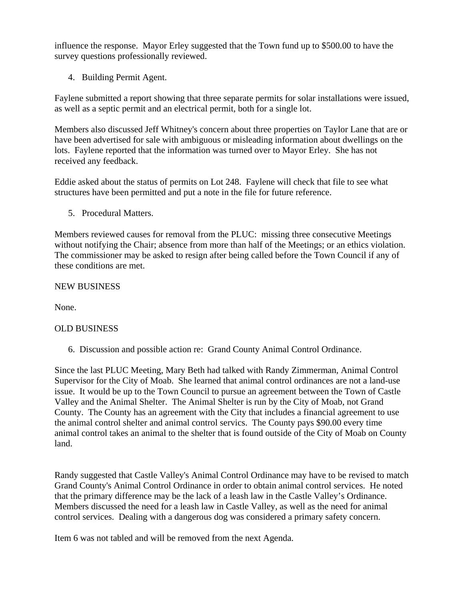influence the response. Mayor Erley suggested that the Town fund up to \$500.00 to have the survey questions professionally reviewed.

4. Building Permit Agent.

Faylene submitted a report showing that three separate permits for solar installations were issued, as well as a septic permit and an electrical permit, both for a single lot.

Members also discussed Jeff Whitney's concern about three properties on Taylor Lane that are or have been advertised for sale with ambiguous or misleading information about dwellings on the lots. Faylene reported that the information was turned over to Mayor Erley. She has not received any feedback.

Eddie asked about the status of permits on Lot 248. Faylene will check that file to see what structures have been permitted and put a note in the file for future reference.

5. Procedural Matters.

Members reviewed causes for removal from the PLUC: missing three consecutive Meetings without notifying the Chair; absence from more than half of the Meetings; or an ethics violation. The commissioner may be asked to resign after being called before the Town Council if any of these conditions are met.

NEW BUSINESS

None.

## OLD BUSINESS

6. Discussion and possible action re: Grand County Animal Control Ordinance.

Since the last PLUC Meeting, Mary Beth had talked with Randy Zimmerman, Animal Control Supervisor for the City of Moab. She learned that animal control ordinances are not a land-use issue. It would be up to the Town Council to pursue an agreement between the Town of Castle Valley and the Animal Shelter. The Animal Shelter is run by the City of Moab, not Grand County. The County has an agreement with the City that includes a financial agreement to use the animal control shelter and animal control servics. The County pays \$90.00 every time animal control takes an animal to the shelter that is found outside of the City of Moab on County land.

Randy suggested that Castle Valley's Animal Control Ordinance may have to be revised to match Grand County's Animal Control Ordinance in order to obtain animal control services. He noted that the primary difference may be the lack of a leash law in the Castle Valley's Ordinance. Members discussed the need for a leash law in Castle Valley, as well as the need for animal control services. Dealing with a dangerous dog was considered a primary safety concern.

Item 6 was not tabled and will be removed from the next Agenda.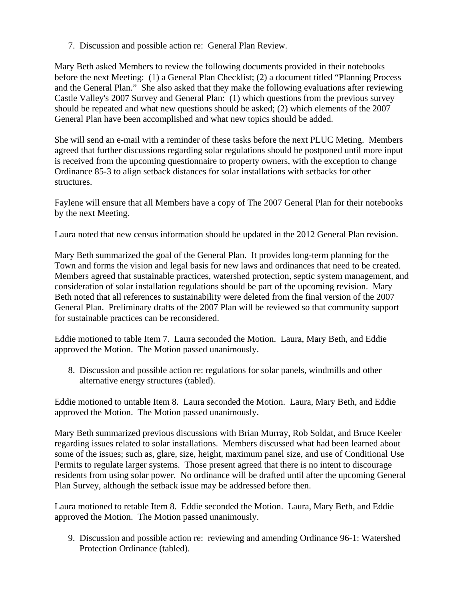7. Discussion and possible action re: General Plan Review.

Mary Beth asked Members to review the following documents provided in their notebooks before the next Meeting: (1) a General Plan Checklist; (2) a document titled "Planning Process and the General Plan." She also asked that they make the following evaluations after reviewing Castle Valley's 2007 Survey and General Plan: (1) which questions from the previous survey should be repeated and what new questions should be asked; (2) which elements of the 2007 General Plan have been accomplished and what new topics should be added.

She will send an e-mail with a reminder of these tasks before the next PLUC Meting. Members agreed that further discussions regarding solar regulations should be postponed until more input is received from the upcoming questionnaire to property owners, with the exception to change Ordinance 85-3 to align setback distances for solar installations with setbacks for other structures.

Faylene will ensure that all Members have a copy of The 2007 General Plan for their notebooks by the next Meeting.

Laura noted that new census information should be updated in the 2012 General Plan revision.

Mary Beth summarized the goal of the General Plan. It provides long-term planning for the Town and forms the vision and legal basis for new laws and ordinances that need to be created. Members agreed that sustainable practices, watershed protection, septic system management, and consideration of solar installation regulations should be part of the upcoming revision. Mary Beth noted that all references to sustainability were deleted from the final version of the 2007 General Plan. Preliminary drafts of the 2007 Plan will be reviewed so that community support for sustainable practices can be reconsidered.

Eddie motioned to table Item 7. Laura seconded the Motion. Laura, Mary Beth, and Eddie approved the Motion. The Motion passed unanimously.

 8. Discussion and possible action re: regulations for solar panels, windmills and other alternative energy structures (tabled).

Eddie motioned to untable Item 8. Laura seconded the Motion. Laura, Mary Beth, and Eddie approved the Motion. The Motion passed unanimously.

Mary Beth summarized previous discussions with Brian Murray, Rob Soldat, and Bruce Keeler regarding issues related to solar installations. Members discussed what had been learned about some of the issues; such as, glare, size, height, maximum panel size, and use of Conditional Use Permits to regulate larger systems. Those present agreed that there is no intent to discourage residents from using solar power. No ordinance will be drafted until after the upcoming General Plan Survey, although the setback issue may be addressed before then.

Laura motioned to retable Item 8. Eddie seconded the Motion. Laura, Mary Beth, and Eddie approved the Motion. The Motion passed unanimously.

9. Discussion and possible action re: reviewing and amending Ordinance 96-1: Watershed Protection Ordinance (tabled).